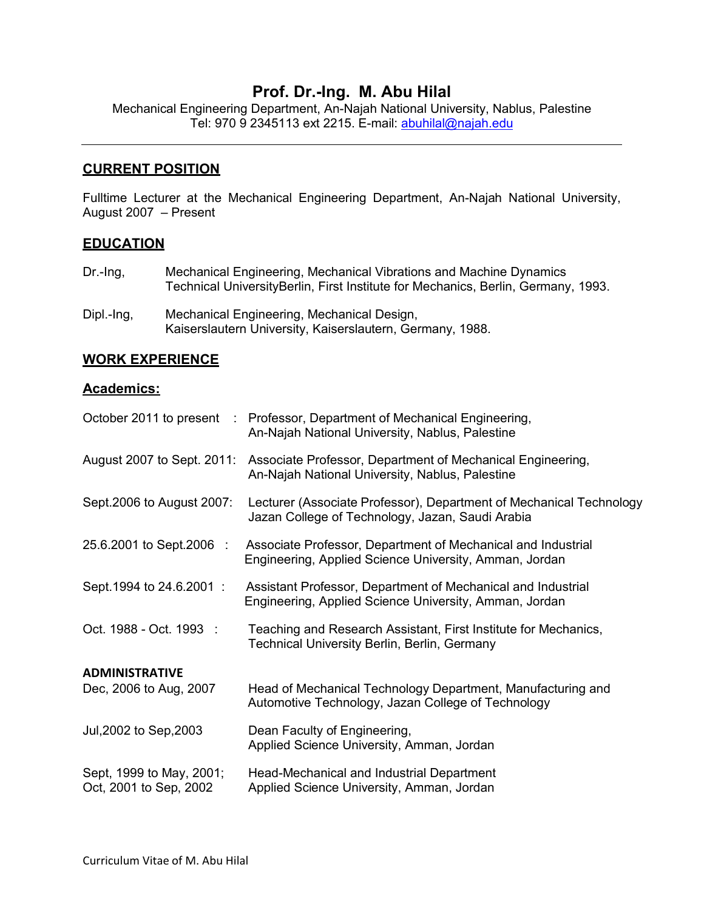# **Prof. Dr.-Ing. M. Abu Hilal**

Mechanical Engineering Department, An-Najah National University, Nablus, Palestine Tel: 970 9 2345113 ext 2215. E-mail: abuhilal@najah.edu

### **CURRENT POSITION**

Fulltime Lecturer at the Mechanical Engineering Department, An-Najah National University, August 2007 – Present

#### **EDUCATION**

- Dr.-Ing, Mechanical Engineering, Mechanical Vibrations and Machine Dynamics Technical UniversityBerlin, First Institute for Mechanics, Berlin, Germany, 1993.
- Dipl.-Ing, Mechanical Engineering, Mechanical Design, Kaiserslautern University, Kaiserslautern, Germany, 1988.

#### **WORK EXPERIENCE**

#### **Academics:**

|                                                    | October 2011 to present : Professor, Department of Mechanical Engineering,<br>An-Najah National University, Nablus, Palestine |
|----------------------------------------------------|-------------------------------------------------------------------------------------------------------------------------------|
| August 2007 to Sept. 2011:                         | Associate Professor, Department of Mechanical Engineering,<br>An-Najah National University, Nablus, Palestine                 |
| Sept. 2006 to August 2007:                         | Lecturer (Associate Professor), Department of Mechanical Technology<br>Jazan College of Technology, Jazan, Saudi Arabia       |
| 25.6.2001 to Sept.2006 :                           | Associate Professor, Department of Mechanical and Industrial<br>Engineering, Applied Science University, Amman, Jordan        |
| Sept. 1994 to 24.6.2001 :                          | Assistant Professor, Department of Mechanical and Industrial<br>Engineering, Applied Science University, Amman, Jordan        |
| Oct. 1988 - Oct. 1993 :                            | Teaching and Research Assistant, First Institute for Mechanics,<br><b>Technical University Berlin, Berlin, Germany</b>        |
| <b>ADMINISTRATIVE</b>                              |                                                                                                                               |
| Dec, 2006 to Aug, 2007                             | Head of Mechanical Technology Department, Manufacturing and<br>Automotive Technology, Jazan College of Technology             |
| Jul, 2002 to Sep, 2003                             | Dean Faculty of Engineering,<br>Applied Science University, Amman, Jordan                                                     |
| Sept, 1999 to May, 2001;<br>Oct, 2001 to Sep, 2002 | Head-Mechanical and Industrial Department<br>Applied Science University, Amman, Jordan                                        |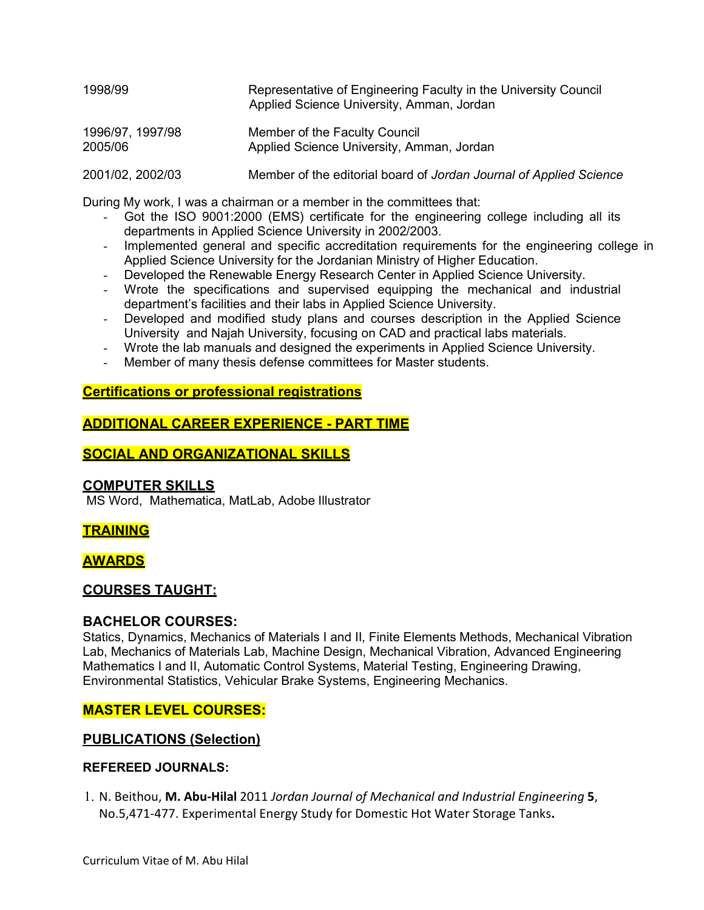| 1998/99<br>1996/97, 1997/98<br>2005/06 | Representative of Engineering Faculty in the University Council<br>Applied Science University, Amman, Jordan<br>Member of the Faculty Council<br>Applied Science University, Amman, Jordan |
|----------------------------------------|--------------------------------------------------------------------------------------------------------------------------------------------------------------------------------------------|
|                                        |                                                                                                                                                                                            |

During My work, I was a chairman or a member in the committees that:

- Got the ISO 9001:2000 (EMS) certificate for the engineering college including all its departments in Applied Science University in 2002/2003.
- Implemented general and specific accreditation requirements for the engineering college in Applied Science University for the Jordanian Ministry of Higher Education.
- Developed the Renewable Energy Research Center in Applied Science University.
- Wrote the specifications and supervised equipping the mechanical and industrial department's facilities and their labs in Applied Science University.
- Developed and modified study plans and courses description in the Applied Science University and Najah University, focusing on CAD and practical labs materials.
- Wrote the lab manuals and designed the experiments in Applied Science University.
- Member of many thesis defense committees for Master students.

## **Certifications or professional registrations**

## **ADDITIONAL CAREER EXPERIENCE - PART TIME**

## **SOCIAL AND ORGANIZATIONAL SKILLS**

### **COMPUTER SKILLS**

MS Word, Mathematica, MatLab, Adobe Illustrator

### **TRAINING**

**AWARDS**

# **COURSES TAUGHT:**

### **BACHELOR COURSES:**

Statics, Dynamics, Mechanics of Materials I and II, Finite Elements Methods, Mechanical Vibration Lab, Mechanics of Materials Lab, Machine Design, Mechanical Vibration, Advanced Engineering Mathematics I and II, Automatic Control Systems, Material Testing, Engineering Drawing, Environmental Statistics, Vehicular Brake Systems, Engineering Mechanics.

### **MASTER LEVEL COURSES:**

### **PUBLICATIONS (Selection)**

#### **REFEREED JOURNALS:**

1. N. Beithou, **M. Abu-Hilal** 2011 *Jordan Journal of Mechanical and Industrial Engineering* **5**, No.5,471-477. Experimental Energy Study for Domestic Hot Water Storage Tanks**.**